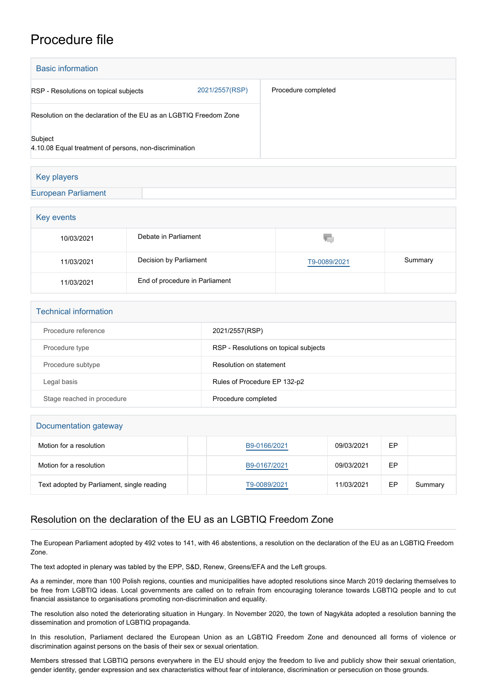## Procedure file

| <b>Basic information</b>                                          |                |                     |  |  |  |
|-------------------------------------------------------------------|----------------|---------------------|--|--|--|
| RSP - Resolutions on topical subjects                             | 2021/2557(RSP) | Procedure completed |  |  |  |
| Resolution on the declaration of the EU as an LGBTIQ Freedom Zone |                |                     |  |  |  |
| Subject<br>4.10.08 Equal treatment of persons, non-discrimination |                |                     |  |  |  |
| Key players                                                       |                |                     |  |  |  |
| <b>European Parliament</b>                                        |                |                     |  |  |  |

| Key events |                                |              |         |  |  |  |
|------------|--------------------------------|--------------|---------|--|--|--|
| 10/03/2021 | Debate in Parliament           | V.           |         |  |  |  |
| 11/03/2021 | Decision by Parliament         | T9-0089/2021 | Summary |  |  |  |
| 11/03/2021 | End of procedure in Parliament |              |         |  |  |  |

| <b>Technical information</b> |                                       |  |  |  |
|------------------------------|---------------------------------------|--|--|--|
| Procedure reference          | 2021/2557(RSP)                        |  |  |  |
| Procedure type               | RSP - Resolutions on topical subjects |  |  |  |
| Procedure subtype            | Resolution on statement               |  |  |  |
| Legal basis                  | Rules of Procedure EP 132-p2          |  |  |  |
| Stage reached in procedure   | Procedure completed                   |  |  |  |

| Documentation gateway                      |              |            |    |         |  |  |  |
|--------------------------------------------|--------------|------------|----|---------|--|--|--|
| Motion for a resolution                    | B9-0166/2021 | 09/03/2021 | EP |         |  |  |  |
| Motion for a resolution                    | B9-0167/2021 | 09/03/2021 | EP |         |  |  |  |
| Text adopted by Parliament, single reading | T9-0089/2021 | 11/03/2021 | EP | Summary |  |  |  |

## Resolution on the declaration of the EU as an LGBTIQ Freedom Zone

The European Parliament adopted by 492 votes to 141, with 46 abstentions, a resolution on the declaration of the EU as an LGBTIQ Freedom Zone.

The text adopted in plenary was tabled by the EPP, S&D, Renew, Greens/EFA and the Left groups.

As a reminder, more than 100 Polish regions, counties and municipalities have adopted resolutions since March 2019 declaring themselves to be free from LGBTIQ ideas. Local governments are called on to refrain from encouraging tolerance towards LGBTIQ people and to cut financial assistance to organisations promoting non-discrimination and equality.

The resolution also noted the deteriorating situation in Hungary. In November 2020, the town of Nagykáta adopted a resolution banning the dissemination and promotion of LGBTIQ propaganda.

In this resolution, Parliament declared the European Union as an LGBTIQ Freedom Zone and denounced all forms of violence or discrimination against persons on the basis of their sex or sexual orientation.

Members stressed that LGBTIQ persons everywhere in the EU should enjoy the freedom to live and publicly show their sexual orientation, gender identity, gender expression and sex characteristics without fear of intolerance, discrimination or persecution on those grounds.